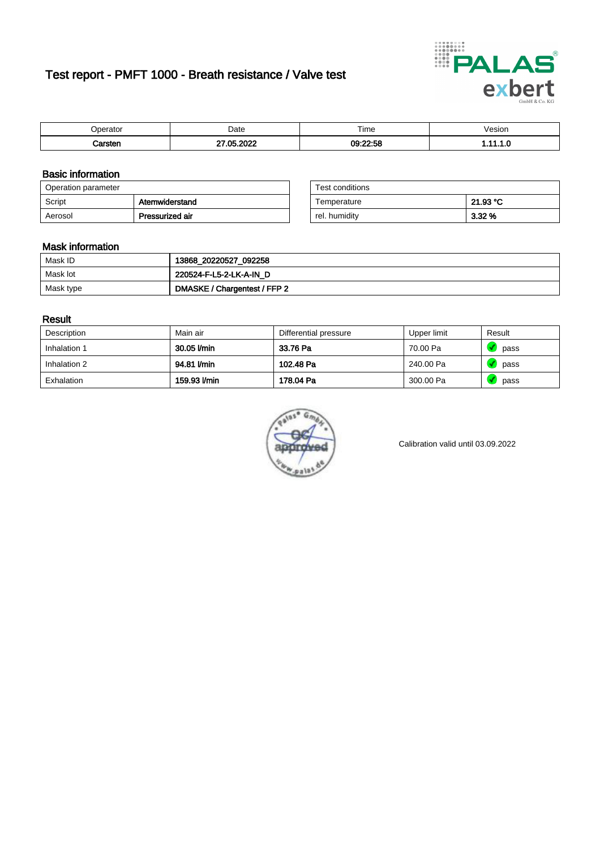# Test report - PMFT 1000 - Breath resistance / Valve test



| maxmax<br>eratoi | Date      | $- \cdot$<br>Time | /esion |
|------------------|-----------|-------------------|--------|
|                  | റററ<br>ΛE | 09:22:58          | .      |

### Basic information

| Operation parameter |                 | Test conditions |          |
|---------------------|-----------------|-----------------|----------|
| Script              | Atemwiderstand  | Temperature     | 21.93 °C |
| Aerosol             | Pressurized air | rel. humidity   | $3.32\%$ |

| Test conditions |          |
|-----------------|----------|
| Temperature     | 21.93 °C |
| rel. humidity   | 3.32%    |

#### Mask information

| Mask ID   | 13868_20220527_092258        |
|-----------|------------------------------|
| Mask lot  | 220524-F-L5-2-LK-A-IN D      |
| Mask type | DMASKE / Chargentest / FFP 2 |

### Result

| Description  | Main air     | Differential pressure | Upper limit | Result |
|--------------|--------------|-----------------------|-------------|--------|
| Inhalation 1 | 30.05 l/min  | 33.76 Pa              | 70.00 Pa    | pass   |
| Inhalation 2 | 94.81 l/min  | 102.48 Pa             | 240.00 Pa   | pass   |
| Exhalation   | 159.93 l/min | 178.04 Pa             | 300.00 Pa   | pass   |



Calibration valid until 03.09.2022